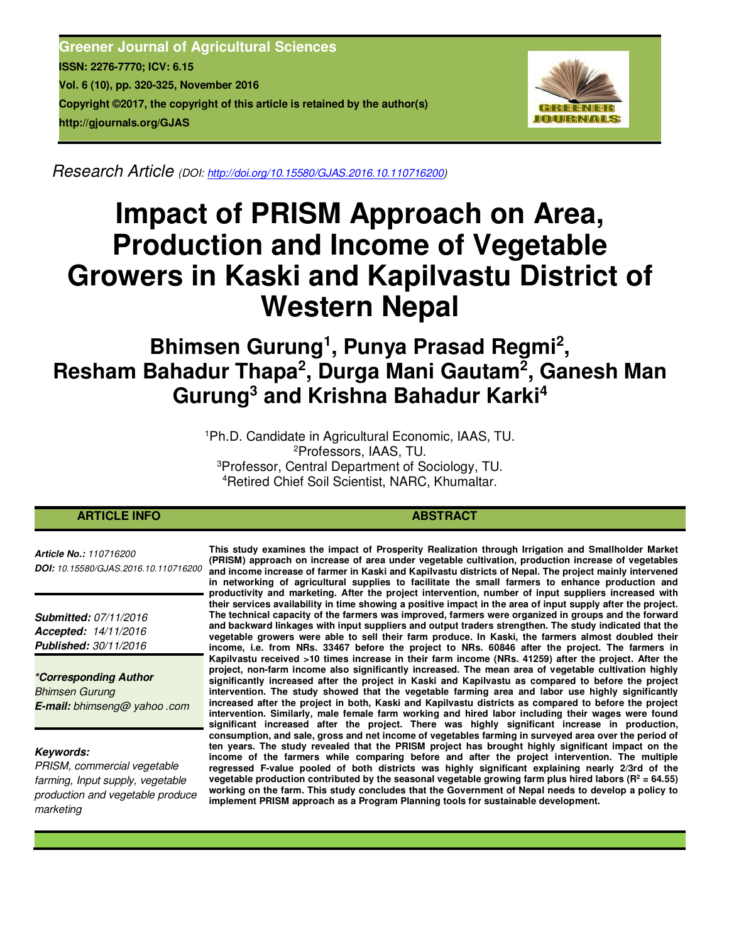**Greener Journal of Agricultural Sciences ISSN: 2276-7770; ICV: 6.15 Vol. 6 (10), pp. 320-325, November 2016 Copyright ©2017, the copyright of this article is retained by the author(s) http://gjournals.org/GJAS**



*Research Article (DOI: http://doi.org/10.15580/GJAS.2016.10.110716200)*

# **Impact of PRISM Approach on Area, Production and Income of Vegetable Growers in Kaski and Kapilvastu District of Western Nepal**

# **Bhimsen Gurung<sup>1</sup> , Punya Prasad Regmi<sup>2</sup> , Resham Bahadur Thapa<sup>2</sup> , Durga Mani Gautam<sup>2</sup> , Ganesh Man Gurung<sup>3</sup> and Krishna Bahadur Karki<sup>4</sup>**

Ph.D. Candidate in Agricultural Economic, IAAS, TU. Professors, IAAS, TU. Professor, Central Department of Sociology, TU. Retired Chief Soil Scientist, NARC, Khumaltar.

# **ARTICLE INFO ABSTRACT ABSTRACT ABSTRACT**

*Article No.: 110716200 DOI: 10.15580/GJAS.2016.10.110716200*

*Submitted: 07/11/2016 Accepted: 14/11/2016 Published: 30/11/2016*

*\*Corresponding Author Bhimsen Gurung E-mail: bhimseng@ yahoo .com*

#### *Keywords:*

*PRISM, commercial vegetable farming, Input supply, vegetable production and vegetable produce marketing*

**This study examines the impact of Prosperity Realization through Irrigation and Smallholder Market (PRISM) approach on increase of area under vegetable cultivation, production increase of vegetables and income increase of farmer in Kaski and Kapilvastu districts of Nepal. The project mainly intervened in networking of agricultural supplies to facilitate the small farmers to enhance production and productivity and marketing. After the project intervention, number of input suppliers increased with their services availability in time showing a positive impact in the area of input supply after the project. The technical capacity of the farmers was improved, farmers were organized in groups and the forward and backward linkages with input suppliers and output traders strengthen. The study indicated that the vegetable growers were able to sell their farm produce. In Kaski, the farmers almost doubled their income, i.e. from NRs. 33467 before the project to NRs. 60846 after the project. The farmers in Kapilvastu received >10 times increase in their farm income (NRs. 41259) after the project. After the project, non-farm income also significantly increased. The mean area of vegetable cultivation highly significantly increased after the project in Kaski and Kapilvastu as compared to before the project intervention. The study showed that the vegetable farming area and labor use highly significantly increased after the project in both, Kaski and Kapilvastu districts as compared to before the project intervention. Similarly, male female farm working and hired labor including their wages were found significant increased after the project. There was highly significant increase in production, consumption, and sale, gross and net income of vegetables farming in surveyed area over the period of ten years. The study revealed that the PRISM project has brought highly significant impact on the income of the farmers while comparing before and after the project intervention. The multiple regressed F-value pooled of both districts was highly significant explaining nearly 2/3rd of the**  vegetable production contributed by the seasonal vegetable growing farm plus hired labors ( $R^2 = 64.55$ ) **working on the farm. This study concludes that the Government of Nepal needs to develop a policy to implement PRISM approach as a Program Planning tools for sustainable development.**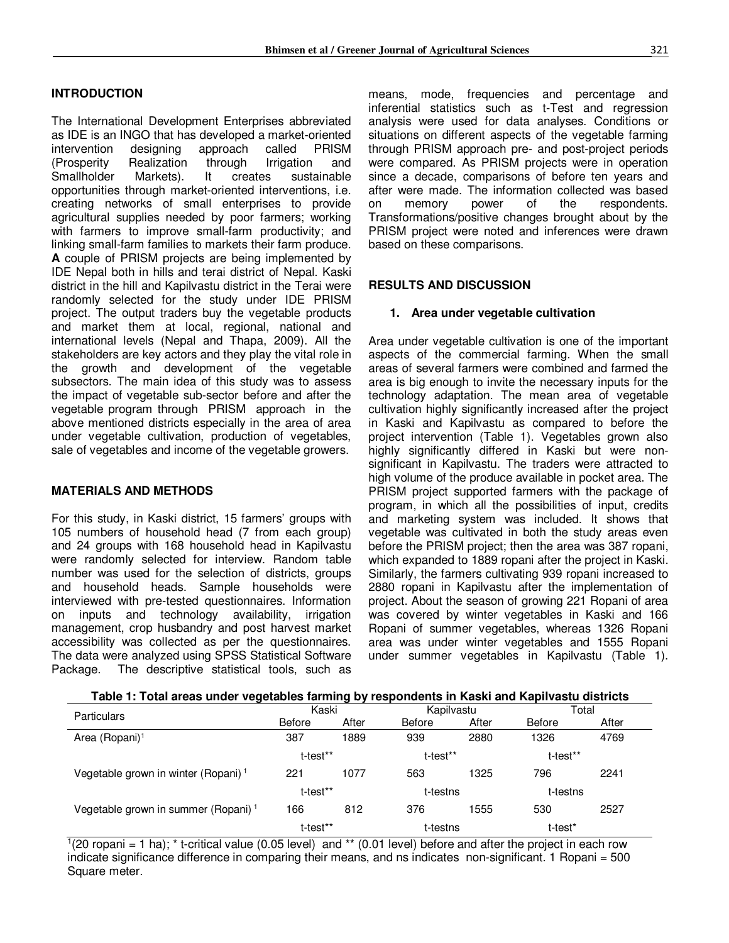# **INTRODUCTION**

The International Development Enterprises abbreviated as IDE is an INGO that has developed a market-oriented intervention designing approach called PRISM (Prosperity Realization through Irrigation and Smallholder Markets). It creates sustainable opportunities through market-oriented interventions, i.e. creating networks of small enterprises to provide agricultural supplies needed by poor farmers; working with farmers to improve small-farm productivity; and linking small-farm families to markets their farm produce. **A** couple of PRISM projects are being implemented by IDE Nepal both in hills and terai district of Nepal. Kaski district in the hill and Kapilvastu district in the Terai were randomly selected for the study under IDE PRISM project. The output traders buy the vegetable products and market them at local, regional, national and international levels (Nepal and Thapa, 2009). All the stakeholders are key actors and they play the vital role in the growth and development of the vegetable subsectors. The main idea of this study was to assess the impact of vegetable sub-sector before and after the vegetable program through PRISM approach in the above mentioned districts especially in the area of area under vegetable cultivation, production of vegetables, sale of vegetables and income of the vegetable growers.

#### **MATERIALS AND METHODS**

For this study, in Kaski district, 15 farmers' groups with 105 numbers of household head (7 from each group) and 24 groups with 168 household head in Kapilvastu were randomly selected for interview. Random table number was used for the selection of districts, groups and household heads. Sample households were interviewed with pre-tested questionnaires. Information on inputs and technology availability, irrigation management, crop husbandry and post harvest market accessibility was collected as per the questionnaires. The data were analyzed using SPSS Statistical Software Package. The descriptive statistical tools, such as

means, mode, frequencies and percentage and inferential statistics such as t-Test and regression analysis were used for data analyses. Conditions or situations on different aspects of the vegetable farming through PRISM approach pre- and post-project periods were compared. As PRISM projects were in operation since a decade, comparisons of before ten years and after were made. The information collected was based on memory power of the respondents. Transformations/positive changes brought about by the PRISM project were noted and inferences were drawn based on these comparisons.

#### **RESULTS AND DISCUSSION**

#### **1. Area under vegetable cultivation**

Area under vegetable cultivation is one of the important aspects of the commercial farming. When the small areas of several farmers were combined and farmed the area is big enough to invite the necessary inputs for the technology adaptation. The mean area of vegetable cultivation highly significantly increased after the project in Kaski and Kapilvastu as compared to before the project intervention (Table 1). Vegetables grown also highly significantly differed in Kaski but were nonsignificant in Kapilvastu. The traders were attracted to high volume of the produce available in pocket area. The PRISM project supported farmers with the package of program, in which all the possibilities of input, credits and marketing system was included. It shows that vegetable was cultivated in both the study areas even before the PRISM project; then the area was 387 ropani, which expanded to 1889 ropani after the project in Kaski. Similarly, the farmers cultivating 939 ropani increased to 2880 ropani in Kapilvastu after the implementation of project. About the season of growing 221 Ropani of area was covered by winter vegetables in Kaski and 166 Ropani of summer vegetables, whereas 1326 Ropani area was under winter vegetables and 1555 Ropani under summer vegetables in Kapilvastu (Table 1).

| Table 1: Total areas under vegetables farming by respondents in Kaski and Kapilvastu districts |
|------------------------------------------------------------------------------------------------|
|------------------------------------------------------------------------------------------------|

| <b>Particulars</b>                              | Kaski    |       |               | Kapilvastu | Total    |          |  |
|-------------------------------------------------|----------|-------|---------------|------------|----------|----------|--|
|                                                 | Before   | After | <b>Before</b> | After      | Before   | After    |  |
| Area (Ropani) <sup>1</sup>                      | 387      | 1889  | 939           | 2880       | 1326     | 4769     |  |
|                                                 | t-test** |       | t-test**      |            | t-test** |          |  |
| Vegetable grown in winter (Ropani) <sup>1</sup> | 221      | 1077  | 563           | 1325       | 796      | 2241     |  |
|                                                 | t-test** |       |               | t-testns   |          | t-testns |  |
| Vegetable grown in summer (Ropani) <sup>1</sup> | 166      | 812   | 376           | 1555       | 530      | 2527     |  |
|                                                 | t-test** |       | t-testns      |            | t-test*  |          |  |

 $1(20 \text{ ropani} = 1 \text{ ha})$ ; \* t-critical value (0.05 level) and \*\* (0.01 level) before and after the project in each row indicate significance difference in comparing their means, and ns indicates non-significant. 1 Ropani = 500 Square meter.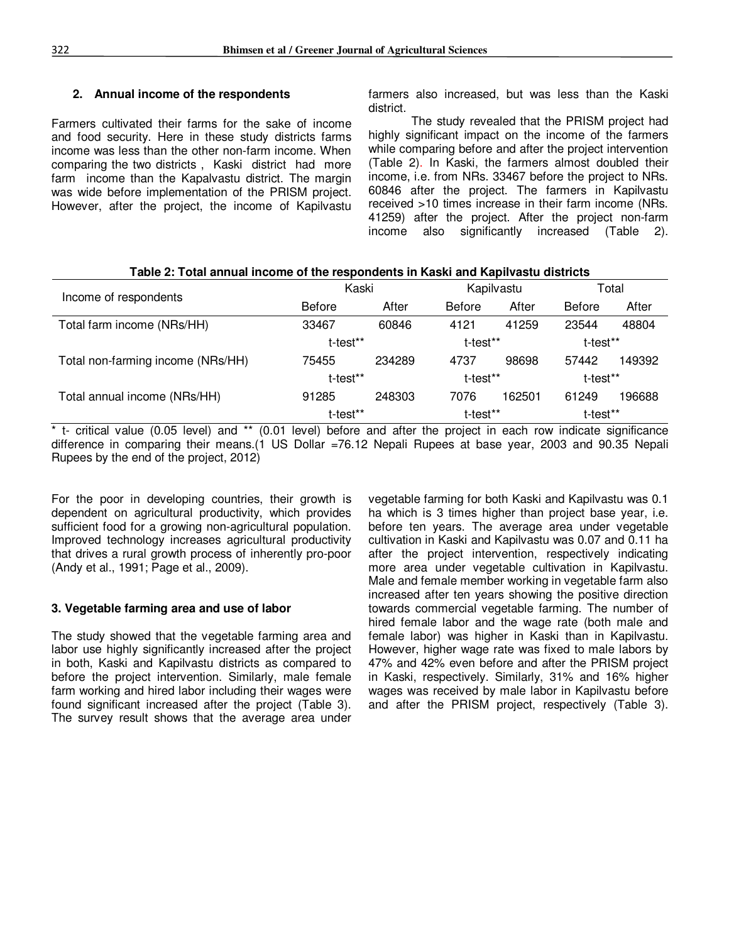# **2. Annual income of the respondents**

Farmers cultivated their farms for the sake of income and food security. Here in these study districts farms income was less than the other non-farm income. When comparing the two districts , Kaski district had more farm income than the Kapalvastu district. The margin was wide before implementation of the PRISM project. However, after the project, the income of Kapilvastu farmers also increased, but was less than the Kaski district.

The study revealed that the PRISM project had highly significant impact on the income of the farmers while comparing before and after the project intervention (Table 2). In Kaski, the farmers almost doubled their income, i.e. from NRs. 33467 before the project to NRs. 60846 after the project. The farmers in Kapilvastu received >10 times increase in their farm income (NRs. 41259) after the project. After the project non-farm income also significantly increased (Table 2).

| rable 2: Total annual income of the respondents in Kaski and Kapilvastu districts |               |        |               |        |               |        |  |
|-----------------------------------------------------------------------------------|---------------|--------|---------------|--------|---------------|--------|--|
| Income of respondents                                                             | Kaski         |        | Kapilvastu    |        | Total         |        |  |
|                                                                                   | <b>Before</b> | After  | <b>Before</b> | After  | <b>Before</b> | After  |  |
| Total farm income (NRs/HH)                                                        | 33467         | 60846  | 4121          | 41259  | 23544         | 48804  |  |
|                                                                                   | t-test**      |        | t-test**      |        | t-test**      |        |  |
| Total non-farming income (NRs/HH)                                                 | 75455         | 234289 | 4737          | 98698  | 57442         | 149392 |  |
|                                                                                   | t-test**      |        | t-test**      |        | t-test**      |        |  |
| Total annual income (NRs/HH)                                                      | 91285         | 248303 | 7076          | 162501 | 61249         | 196688 |  |
|                                                                                   | t-test**      |        | t-test**      |        | t-test**      |        |  |

**Table 2: Total annual income of the respondents in Kaski and Kapilvastu districts** 

 $*$  t- critical value (0.05 level) and  $**$  (0.01 level) before and after the project in each row indicate significance difference in comparing their means.(1 US Dollar =76.12 Nepali Rupees at base year, 2003 and 90.35 Nepali Rupees by the end of the project, 2012)

For the poor in developing countries, their growth is dependent on agricultural productivity, which provides sufficient food for a growing non-agricultural population. Improved technology increases agricultural productivity that drives a rural growth process of inherently pro-poor (Andy et al., 1991; Page et al., 2009).

# **3. Vegetable farming area and use of labor**

The study showed that the vegetable farming area and labor use highly significantly increased after the project in both, Kaski and Kapilvastu districts as compared to before the project intervention. Similarly, male female farm working and hired labor including their wages were found significant increased after the project (Table 3). The survey result shows that the average area under

vegetable farming for both Kaski and Kapilvastu was 0.1 ha which is 3 times higher than project base year, i.e. before ten years. The average area under vegetable cultivation in Kaski and Kapilvastu was 0.07 and 0.11 ha after the project intervention, respectively indicating more area under vegetable cultivation in Kapilvastu. Male and female member working in vegetable farm also increased after ten years showing the positive direction towards commercial vegetable farming. The number of hired female labor and the wage rate (both male and female labor) was higher in Kaski than in Kapilvastu. However, higher wage rate was fixed to male labors by 47% and 42% even before and after the PRISM project in Kaski, respectively. Similarly, 31% and 16% higher wages was received by male labor in Kapilvastu before and after the PRISM project, respectively (Table 3).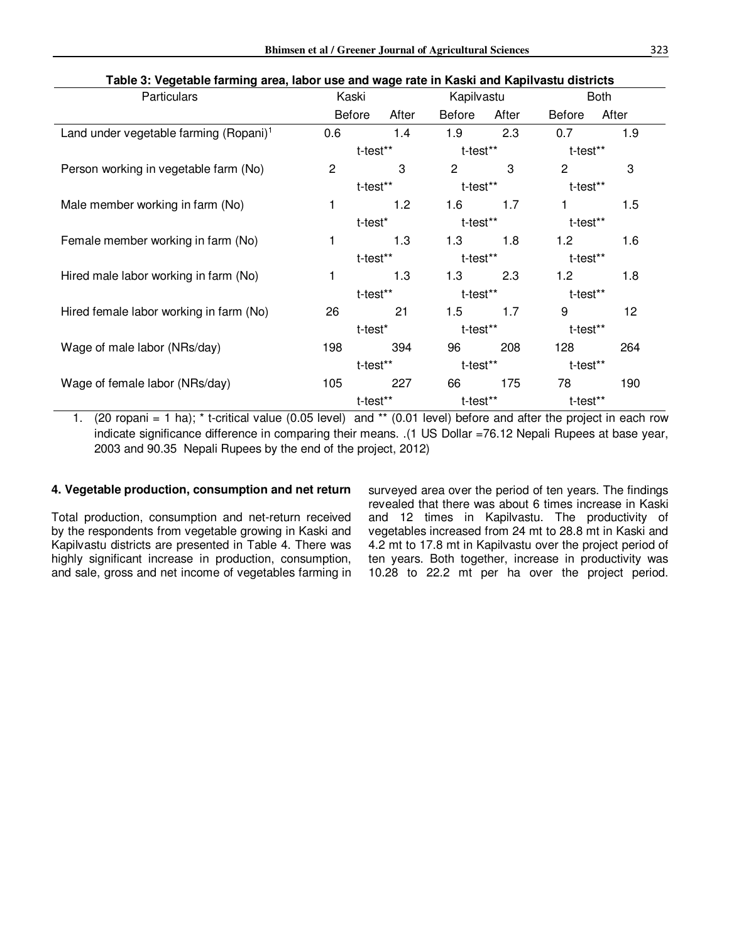| <b>Bhimsen et al / Greener Journal of Agricultural Sciences</b> | 323 |
|-----------------------------------------------------------------|-----|
|                                                                 |     |

| Table 3: Vegetable farming area, labor use and wage rate in Kaski and Kapilvastu districts |                        |  |            |                |       |                |       |  |
|--------------------------------------------------------------------------------------------|------------------------|--|------------|----------------|-------|----------------|-------|--|
| Particulars                                                                                | Kaski                  |  | Kapilvastu |                |       | <b>Both</b>    |       |  |
|                                                                                            | <b>Before</b><br>After |  |            | <b>Before</b>  | After | <b>Before</b>  | After |  |
| Land under vegetable farming (Ropani) <sup>1</sup>                                         | 0.6                    |  | 1.4        | 1.9            | 2.3   | 0.7            | 1.9   |  |
|                                                                                            | t-test**               |  |            | t-test**       |       | t-test**       |       |  |
| Person working in vegetable farm (No)                                                      | $\overline{2}$         |  | 3          | $\overline{2}$ | 3     | $\overline{c}$ | 3     |  |
|                                                                                            | t-test**               |  |            | t-test**       |       | t-test**       |       |  |
| Male member working in farm (No)                                                           | 1                      |  | 1.2        | 1.6            | 1.7   |                | 1.5   |  |
|                                                                                            | t-test*                |  |            | t-test**       |       | t-test**       |       |  |
| Female member working in farm (No)                                                         | 1                      |  | 1.3        | 1.3            | 1.8   | 1.2            | 1.6   |  |
|                                                                                            | t-test**               |  |            | t-test**       |       | t-test**       |       |  |
| Hired male labor working in farm (No)                                                      | 1                      |  | 1.3        | 1.3            | 2.3   | 1.2            | 1.8   |  |
|                                                                                            | t-test**               |  |            | t-test**       |       | t-test**       |       |  |
| Hired female labor working in farm (No)                                                    | 26                     |  | 21         | 1.5            | 1.7   | 9              | 12    |  |
|                                                                                            | t-test*                |  |            | t-test**       |       | t-test**       |       |  |
| Wage of male labor (NRs/day)                                                               | 198                    |  | 394        | 96             | 208   | 128            | 264   |  |
|                                                                                            | t-test**               |  |            | t-test**       |       | t-test**       |       |  |
| Wage of female labor (NRs/day)                                                             | 105                    |  | 227        | 66             | 175   | 78             | 190   |  |
|                                                                                            | t-test**               |  |            | t-test**       |       | t-test**       |       |  |

1. (20 ropani = 1 ha); \* t-critical value (0.05 level) and \*\* (0.01 level) before and after the project in each row indicate significance difference in comparing their means. .(1 US Dollar =76.12 Nepali Rupees at base year, 2003 and 90.35 Nepali Rupees by the end of the project, 2012)

#### **4. Vegetable production, consumption and net return**

Total production, consumption and net-return received by the respondents from vegetable growing in Kaski and Kapilvastu districts are presented in Table 4. There was highly significant increase in production, consumption, and sale, gross and net income of vegetables farming in surveyed area over the period of ten years. The findings revealed that there was about 6 times increase in Kaski and 12 times in Kapilvastu. The productivity of vegetables increased from 24 mt to 28.8 mt in Kaski and 4.2 mt to 17.8 mt in Kapilvastu over the project period of ten years. Both together, increase in productivity was 10.28 to 22.2 mt per ha over the project period.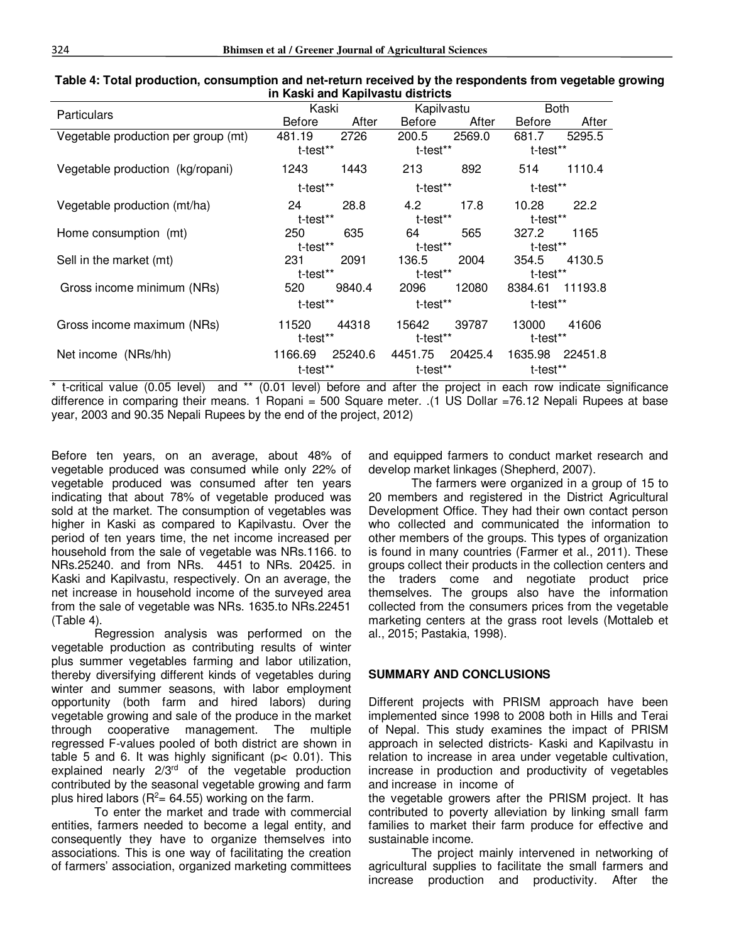| <b>Particulars</b>                  | Kaski         |         | Kapilvastu    |         | <b>Both</b>   |         |  |  |  |
|-------------------------------------|---------------|---------|---------------|---------|---------------|---------|--|--|--|
|                                     | <b>Before</b> | After   | <b>Before</b> | After   | <b>Before</b> | After   |  |  |  |
| Vegetable production per group (mt) | 481.19        | 2726    | 200.5         | 2569.0  | 681.7         | 5295.5  |  |  |  |
|                                     | t-test**      |         | t-test**      |         | t-test**      |         |  |  |  |
| Vegetable production (kg/ropani)    | 1243          | 1443    | 213           | 892     | 514           | 1110.4  |  |  |  |
|                                     | t-test**      |         | t-test**      |         | t-test**      |         |  |  |  |
| Vegetable production (mt/ha)        | 24            | 28.8    | 4.2           | 17.8    | 10.28         | 22.2    |  |  |  |
|                                     | t-test**      |         | t-test**      |         | t-test**      |         |  |  |  |
| Home consumption (mt)               | 250           | 635     | 64            | 565     | 327.2         | 1165    |  |  |  |
|                                     | t-test**      |         | t-test**      |         | t-test**      |         |  |  |  |
| Sell in the market (mt)             | 231           | 2091    | 136.5         | 2004    | 354.5         | 4130.5  |  |  |  |
|                                     | t-test**      |         | t-test**      |         | t-test**      |         |  |  |  |
| Gross income minimum (NRs)          | 520           | 9840.4  | 2096          | 12080   | 8384.61       | 11193.8 |  |  |  |
|                                     | t-test**      |         | t-test**      |         | t-test**      |         |  |  |  |
| Gross income maximum (NRs)          | 11520         | 44318   | 15642         | 39787   | 13000         | 41606   |  |  |  |
|                                     | t-test**      |         | t-test**      |         | t-test**      |         |  |  |  |
| Net income (NRs/hh)                 | 1166.69       | 25240.6 | 4451.75       | 20425.4 | 1635.98       | 22451.8 |  |  |  |
|                                     | t-test**      |         | t-test**      |         | t-test**      |         |  |  |  |

#### **Table 4: Total production, consumption and net-return received by the respondents from vegetable growing in Kaski and Kapilvastu districts**

\* t-critical value (0.05 level) and \*\* (0.01 level) before and after the project in each row indicate significance difference in comparing their means. 1 Ropani = 500 Square meter. .(1 US Dollar =76.12 Nepali Rupees at base year, 2003 and 90.35 Nepali Rupees by the end of the project, 2012)

Before ten years, on an average, about 48% of vegetable produced was consumed while only 22% of vegetable produced was consumed after ten years indicating that about 78% of vegetable produced was sold at the market. The consumption of vegetables was higher in Kaski as compared to Kapilvastu. Over the period of ten years time, the net income increased per household from the sale of vegetable was NRs.1166. to NRs.25240. and from NRs. 4451 to NRs. 20425. in Kaski and Kapilvastu, respectively. On an average, the net increase in household income of the surveyed area from the sale of vegetable was NRs. 1635.to NRs.22451 (Table 4).

Regression analysis was performed on the vegetable production as contributing results of winter plus summer vegetables farming and labor utilization, thereby diversifying different kinds of vegetables during winter and summer seasons, with labor employment opportunity (both farm and hired labors) during vegetable growing and sale of the produce in the market through cooperative management. The multiple regressed F-values pooled of both district are shown in table 5 and 6. It was highly significant ( $p < 0.01$ ). This explained nearly  $2/3^{rd}$  of the vegetable production contributed by the seasonal vegetable growing and farm plus hired labors ( $R^2$ = 64.55) working on the farm.

To enter the market and trade with commercial entities, farmers needed to become a legal entity, and consequently they have to organize themselves into associations. This is one way of facilitating the creation of farmers' association, organized marketing committees and equipped farmers to conduct market research and develop market linkages (Shepherd, 2007).

The farmers were organized in a group of 15 to 20 members and registered in the District Agricultural Development Office. They had their own contact person who collected and communicated the information to other members of the groups. This types of organization is found in many countries (Farmer et al., 2011). These groups collect their products in the collection centers and the traders come and negotiate product price themselves. The groups also have the information collected from the consumers prices from the vegetable marketing centers at the grass root levels (Mottaleb et al., 2015; Pastakia, 1998).

# **SUMMARY AND CONCLUSIONS**

Different projects with PRISM approach have been implemented since 1998 to 2008 both in Hills and Terai of Nepal. This study examines the impact of PRISM approach in selected districts- Kaski and Kapilvastu in relation to increase in area under vegetable cultivation, increase in production and productivity of vegetables and increase in income of

the vegetable growers after the PRISM project. It has contributed to poverty alleviation by linking small farm families to market their farm produce for effective and sustainable income.

The project mainly intervened in networking of agricultural supplies to facilitate the small farmers and increase production and productivity. After the